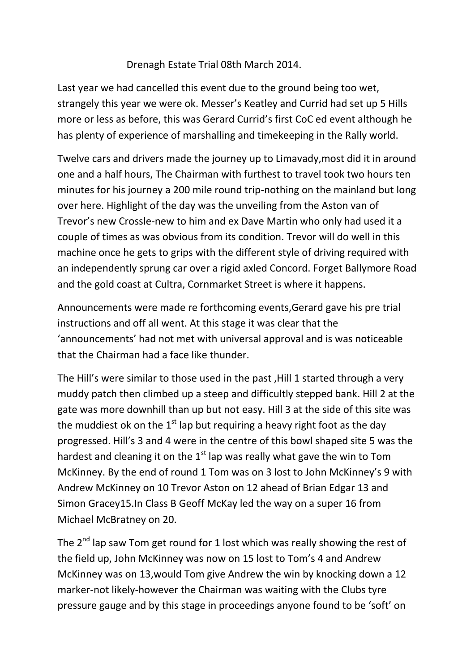## Drenagh Estate Trial 08th March 2014.

Last year we had cancelled this event due to the ground being too wet, strangely this year we were ok. Messer's Keatley and Currid had set up 5 Hills more or less as before, this was Gerard Currid's first CoC ed event although he has plenty of experience of marshalling and timekeeping in the Rally world.

Twelve cars and drivers made the journey up to Limavady,most did it in around one and a half hours, The Chairman with furthest to travel took two hours ten minutes for his journey a 200 mile round trip-nothing on the mainland but long over here. Highlight of the day was the unveiling from the Aston van of Trevor's new Crossle-new to him and ex Dave Martin who only had used it a couple of times as was obvious from its condition. Trevor will do well in this machine once he gets to grips with the different style of driving required with an independently sprung car over a rigid axled Concord. Forget Ballymore Road and the gold coast at Cultra, Cornmarket Street is where it happens.

Announcements were made re forthcoming events,Gerard gave his pre trial instructions and off all went. At this stage it was clear that the 'announcements' had not met with universal approval and is was noticeable that the Chairman had a face like thunder.

The Hill's were similar to those used in the past ,Hill 1 started through a very muddy patch then climbed up a steep and difficultly stepped bank. Hill 2 at the gate was more downhill than up but not easy. Hill 3 at the side of this site was the muddiest ok on the  $1<sup>st</sup>$  lap but requiring a heavy right foot as the day progressed. Hill's 3 and 4 were in the centre of this bowl shaped site 5 was the hardest and cleaning it on the  $1<sup>st</sup>$  lap was really what gave the win to Tom McKinney. By the end of round 1 Tom was on 3 lost to John McKinney's 9 with Andrew McKinney on 10 Trevor Aston on 12 ahead of Brian Edgar 13 and Simon Gracey15.In Class B Geoff McKay led the way on a super 16 from Michael McBratney on 20.

The 2<sup>nd</sup> lap saw Tom get round for 1 lost which was really showing the rest of the field up, John McKinney was now on 15 lost to Tom's 4 and Andrew McKinney was on 13,would Tom give Andrew the win by knocking down a 12 marker-not likely-however the Chairman was waiting with the Clubs tyre pressure gauge and by this stage in proceedings anyone found to be 'soft' on